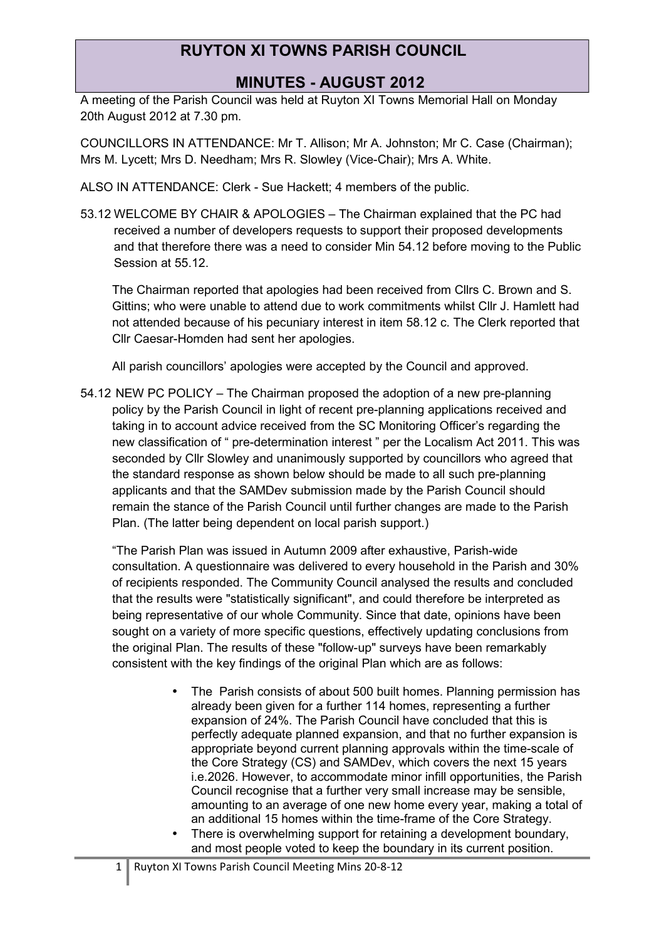### **MINUTES - AUGUST 2012**

A meeting of the Parish Council was held at Ruyton XI Towns Memorial Hall on Monday 20th August 2012 at 7.30 pm.

COUNCILLORS IN ATTENDANCE: Mr T. Allison; Mr A. Johnston; Mr C. Case (Chairman); Mrs M. Lycett; Mrs D. Needham; Mrs R. Slowley (Vice-Chair); Mrs A. White.

ALSO IN ATTENDANCE: Clerk - Sue Hackett; 4 members of the public.

53.12 WELCOME BY CHAIR & APOLOGIES – The Chairman explained that the PC had received a number of developers requests to support their proposed developments and that therefore there was a need to consider Min 54.12 before moving to the Public Session at 55.12.

The Chairman reported that apologies had been received from Cllrs C. Brown and S. Gittins; who were unable to attend due to work commitments whilst Cllr J. Hamlett had not attended because of his pecuniary interest in item 58.12 c. The Clerk reported that Cllr Caesar-Homden had sent her apologies.

All parish councillors' apologies were accepted by the Council and approved.

54.12 NEW PC POLICY – The Chairman proposed the adoption of a new pre-planning policy by the Parish Council in light of recent pre-planning applications received and taking in to account advice received from the SC Monitoring Officer's regarding the new classification of " pre-determination interest " per the Localism Act 2011. This was seconded by Cllr Slowley and unanimously supported by councillors who agreed that the standard response as shown below should be made to all such pre-planning applicants and that the SAMDev submission made by the Parish Council should remain the stance of the Parish Council until further changes are made to the Parish Plan. (The latter being dependent on local parish support.)

"The Parish Plan was issued in Autumn 2009 after exhaustive, Parish-wide consultation. A questionnaire was delivered to every household in the Parish and 30% of recipients responded. The Community Council analysed the results and concluded that the results were "statistically significant", and could therefore be interpreted as being representative of our whole Community. Since that date, opinions have been sought on a variety of more specific questions, effectively updating conclusions from the original Plan. The results of these "follow-up" surveys have been remarkably consistent with the key findings of the original Plan which are as follows:

- The Parish consists of about 500 built homes. Planning permission has already been given for a further 114 homes, representing a further expansion of 24%. The Parish Council have concluded that this is perfectly adequate planned expansion, and that no further expansion is appropriate beyond current planning approvals within the time-scale of the Core Strategy (CS) and SAMDev, which covers the next 15 years i.e.2026. However, to accommodate minor infill opportunities, the Parish Council recognise that a further very small increase may be sensible, amounting to an average of one new home every year, making a total of an additional 15 homes within the time-frame of the Core Strategy.
- There is overwhelming support for retaining a development boundary, and most people voted to keep the boundary in its current position.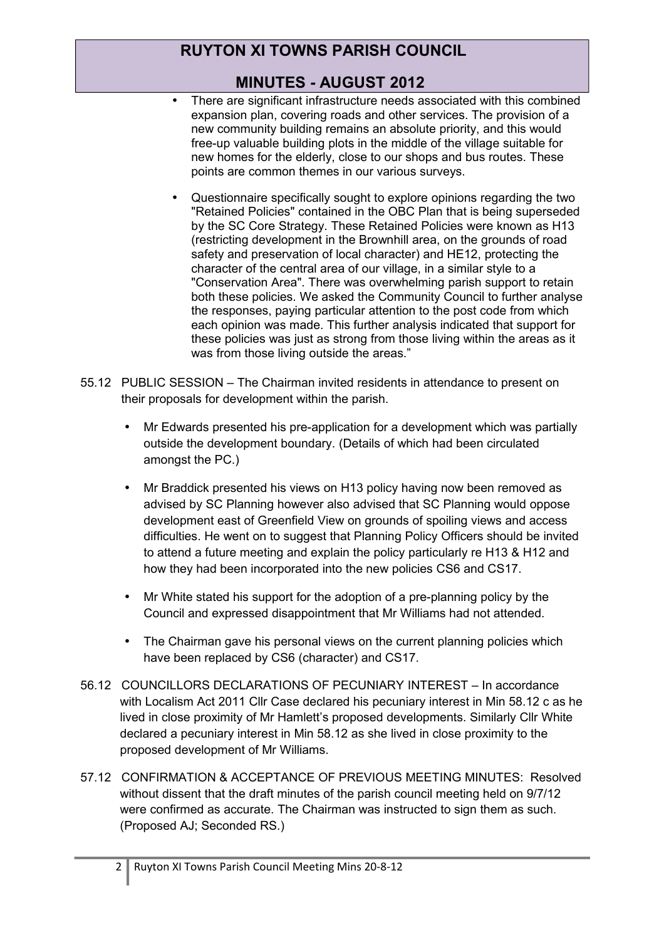# **MINUTES - AUGUST 2012**

- There are significant infrastructure needs associated with this combined expansion plan, covering roads and other services. The provision of a new community building remains an absolute priority, and this would free-up valuable building plots in the middle of the village suitable for new homes for the elderly, close to our shops and bus routes. These points are common themes in our various surveys.
- Questionnaire specifically sought to explore opinions regarding the two "Retained Policies" contained in the OBC Plan that is being superseded by the SC Core Strategy. These Retained Policies were known as H13 (restricting development in the Brownhill area, on the grounds of road safety and preservation of local character) and HE12, protecting the character of the central area of our village, in a similar style to a "Conservation Area". There was overwhelming parish support to retain both these policies. We asked the Community Council to further analyse the responses, paying particular attention to the post code from which each opinion was made. This further analysis indicated that support for these policies was just as strong from those living within the areas as it was from those living outside the areas."
- 55.12 PUBLIC SESSION The Chairman invited residents in attendance to present on their proposals for development within the parish.
	- Mr Edwards presented his pre-application for a development which was partially outside the development boundary. (Details of which had been circulated amongst the PC.)
	- Mr Braddick presented his views on H13 policy having now been removed as advised by SC Planning however also advised that SC Planning would oppose development east of Greenfield View on grounds of spoiling views and access difficulties. He went on to suggest that Planning Policy Officers should be invited to attend a future meeting and explain the policy particularly re H13 & H12 and how they had been incorporated into the new policies CS6 and CS17.
	- Mr White stated his support for the adoption of a pre-planning policy by the Council and expressed disappointment that Mr Williams had not attended.
	- The Chairman gave his personal views on the current planning policies which have been replaced by CS6 (character) and CS17.
- 56.12 COUNCILLORS DECLARATIONS OF PECUNIARY INTEREST In accordance with Localism Act 2011 Cllr Case declared his pecuniary interest in Min 58.12 c as he lived in close proximity of Mr Hamlett's proposed developments. Similarly Cllr White declared a pecuniary interest in Min 58.12 as she lived in close proximity to the proposed development of Mr Williams.
- 57.12 CONFIRMATION & ACCEPTANCE OF PREVIOUS MEETING MINUTES: Resolved without dissent that the draft minutes of the parish council meeting held on 9/7/12 were confirmed as accurate. The Chairman was instructed to sign them as such. (Proposed AJ; Seconded RS.)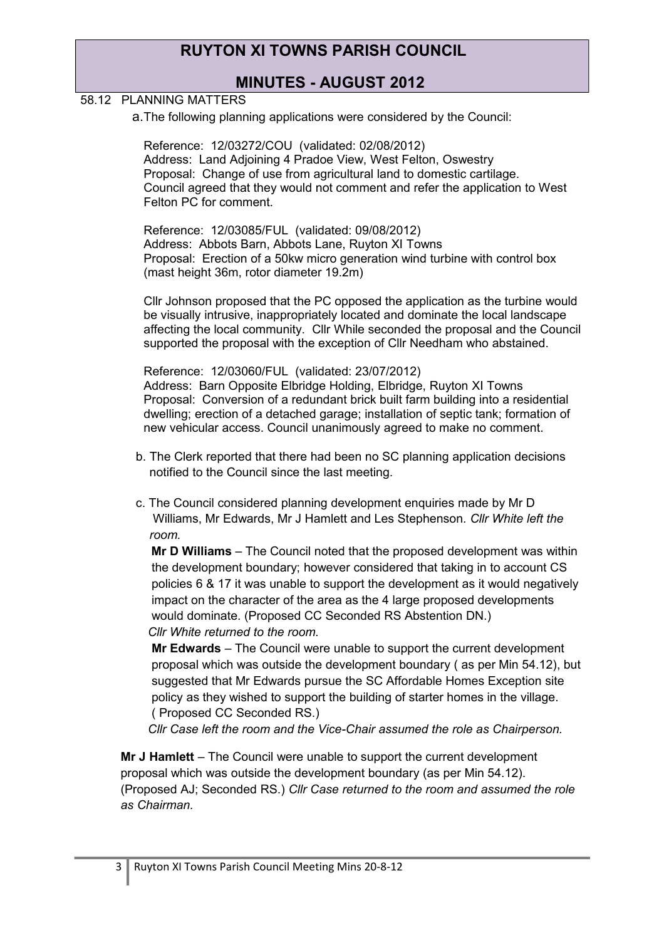### **MINUTES - AUGUST 2012**

#### 58.12 PLANNING MATTERS

a.The following planning applications were considered by the Council:

Reference: 12/03272/COU (validated: 02/08/2012) Address: Land Adjoining 4 Pradoe View, West Felton, Oswestry Proposal: Change of use from agricultural land to domestic cartilage. Council agreed that they would not comment and refer the application to West Felton PC for comment.

Reference: 12/03085/FUL (validated: 09/08/2012) Address: Abbots Barn, Abbots Lane, Ruyton XI Towns Proposal: Erection of a 50kw micro generation wind turbine with control box (mast height 36m, rotor diameter 19.2m)

Cllr Johnson proposed that the PC opposed the application as the turbine would be visually intrusive, inappropriately located and dominate the local landscape affecting the local community. Cllr While seconded the proposal and the Council supported the proposal with the exception of Cllr Needham who abstained.

Reference: 12/03060/FUL (validated: 23/07/2012) Address: Barn Opposite Elbridge Holding, Elbridge, Ruyton XI Towns Proposal: Conversion of a redundant brick built farm building into a residential dwelling; erection of a detached garage; installation of septic tank; formation of new vehicular access. Council unanimously agreed to make no comment.

- b. The Clerk reported that there had been no SC planning application decisions notified to the Council since the last meeting.
- c. The Council considered planning development enquiries made by Mr D Williams, Mr Edwards, Mr J Hamlett and Les Stephenson. *Cllr White left the room.*

 **Mr D Williams** – The Council noted that the proposed development was within the development boundary; however considered that taking in to account CS policies 6 & 17 it was unable to support the development as it would negatively impact on the character of the area as the 4 large proposed developments would dominate. (Proposed CC Seconded RS Abstention DN.) *Cllr White returned to the room.*

**Mr Edwards** – The Council were unable to support the current development proposal which was outside the development boundary ( as per Min 54.12), but suggested that Mr Edwards pursue the SC Affordable Homes Exception site policy as they wished to support the building of starter homes in the village. ( Proposed CC Seconded RS.)

 *Cllr Case left the room and the Vice-Chair assumed the role as Chairperson.*

**Mr J Hamlett** – The Council were unable to support the current development proposal which was outside the development boundary (as per Min 54.12). (Proposed AJ; Seconded RS.) *Cllr Case returned to the room and assumed the role as Chairman.*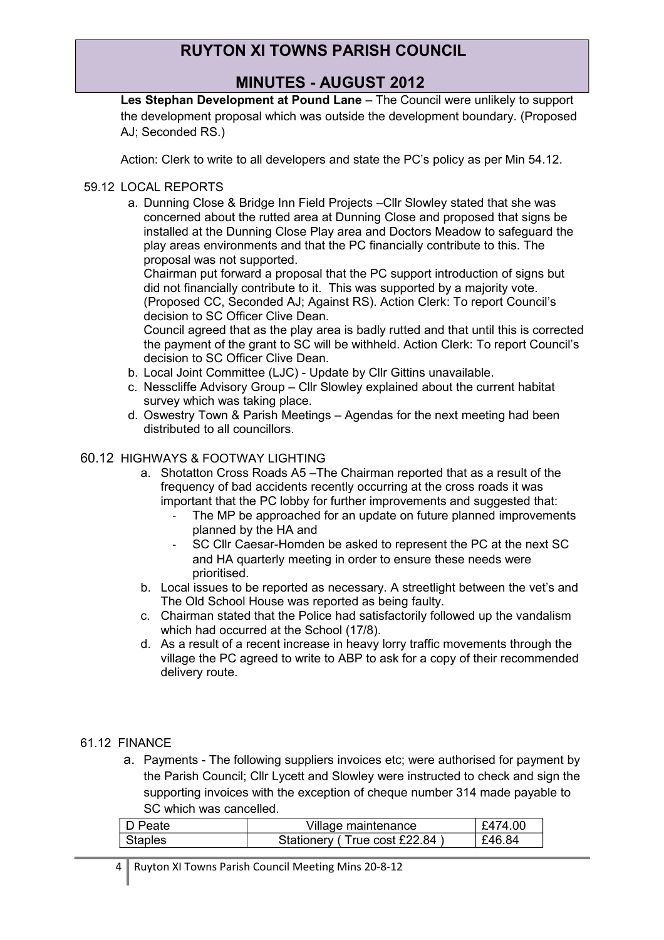### **MINUTES - AUGUST 2012**

**Les Stephan Development at Pound Lane** – The Council were unlikely to support the development proposal which was outside the development boundary. (Proposed AJ; Seconded RS.)

Action: Clerk to write to all developers and state the PC's policy as per Min 54.12.

### 59.12 LOCAL REPORTS

a. Dunning Close & Bridge Inn Field Projects –Cllr Slowley stated that she was concerned about the rutted area at Dunning Close and proposed that signs be installed at the Dunning Close Play area and Doctors Meadow to safeguard the play areas environments and that the PC financially contribute to this. The proposal was not supported.

Chairman put forward a proposal that the PC support introduction of signs but did not financially contribute to it. This was supported by a majority vote. (Proposed CC, Seconded AJ; Against RS). Action Clerk: To report Council's decision to SC Officer Clive Dean.

Council agreed that as the play area is badly rutted and that until this is corrected the payment of the grant to SC will be withheld. Action Clerk: To report Council's decision to SC Officer Clive Dean.

- b. Local Joint Committee (LJC) Update by Cllr Gittins unavailable.
- c. Nesscliffe Advisory Group Cllr Slowley explained about the current habitat survey which was taking place.
- d. Oswestry Town & Parish Meetings Agendas for the next meeting had been distributed to all councillors.

#### 60.12 HIGHWAYS & FOOTWAY LIGHTING

- a. Shotatton Cross Roads A5 –The Chairman reported that as a result of the frequency of bad accidents recently occurring at the cross roads it was important that the PC lobby for further improvements and suggested that:
	- The MP be approached for an update on future planned improvements planned by the HA and
	- SC Cllr Caesar-Homden be asked to represent the PC at the next SC and HA quarterly meeting in order to ensure these needs were prioritised.
- b. Local issues to be reported as necessary. A streetlight between the vet's and The Old School House was reported as being faulty.
- c. Chairman stated that the Police had satisfactorily followed up the vandalism which had occurred at the School (17/8).
- d. As a result of a recent increase in heavy lorry traffic movements through the village the PC agreed to write to ABP to ask for a copy of their recommended delivery route.

#### 61.12 FINANCE

a. Payments - The following suppliers invoices etc; were authorised for payment by the Parish Council; Cllr Lycett and Slowley were instructed to check and sign the supporting invoices with the exception of cheque number 314 made payable to SC which was cancelled.

| D Peate        | Village maintenance          | £474.00 |
|----------------|------------------------------|---------|
| <b>Staples</b> | Stationery (True cost £22.84 | £46.84  |